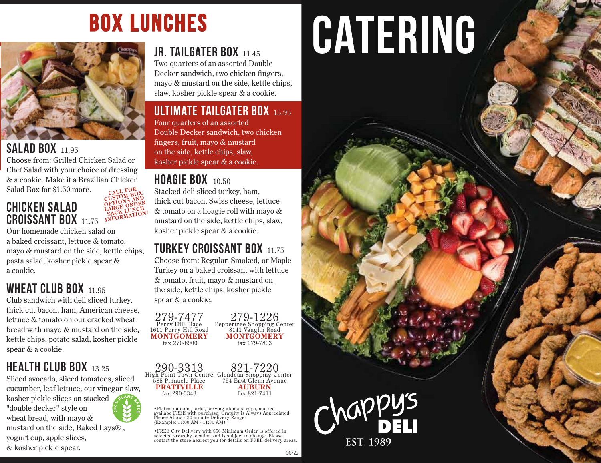## **BOX LUNCHES**



#### **SALAD BOX 11.95**

Choose from: Grilled Chicken Salad or Chef Salad with your choice of dressing & a cookie. Make it a Brazilian Chicken Salad Box for \$1.50 more. CALL FOR

LARGE ORDER

#### **CHICKEN SALAD** SACK LUNCH **CROISSANT BOX 1175**

Our homemade chicken salad on a baked croissant. lettuce & tomato. mayo & mustard on the side, kettle chips, pasta salad, kosher pickle spear & a cookie.

#### **WHEAT CLUB BOX 11.95**

Club sandwich with deli sliced turkey, thick cut bacon, ham, American cheese, lettuce & tomato on our cracked wheat bread with mayo & mustard on the side. kettle chips, potato salad, kosher pickle spear & a cookie.

#### **HEALTH CLUB BOX 13 25**

Sliced avocado, sliced tomatoes, sliced cucumber, leaf lettuce, our vinegar slaw, kosher pickle slices on stacked "double decker" style on wheat bread, with mayo & mustard on the side, Baked Lays®. yogurt cup, apple slices, & kosher pickle spear.

#### JR. TAILGATER BOX 11.45

Two quarters of an assorted Double Decker sandwich, two chicken fingers, mayo & mustard on the side, kettle chips, slaw, kosher pickle spear & a cookie.

#### **ULTIMATE TAILGATER BOX 15.95**

Four quarters of an assorted Double Decker sandwich, two chicken fingers, fruit, mayo & mustard on the side, kettle chips, slaw, kosher pickle spear & a cookie.

#### **HOAGIE BOX**  $10.50$

Stacked deli sliced turkey, ham, thick cut bacon, Swiss cheese, lettuce & tomato on a hoagie roll with mayo & mustard on the side, kettle chips, slaw, kosher pickle spear & a cookie.

#### **TURKEY CROISSANT BOX 1175**

Choose from: Regular, Smoked, or Maple Turkey on a baked croissant with lettuce & tomato, fruit, mayo & mustard on the side, kettle chips, kosher pickle spear & a cookie.

 $279 - 7477$ <br>Perry Hill Place 1611 Perry Hill Road **MONTGOMERY**  $f$ ax 270-8900

279-1226 Peppertree Shopping Center<br>8141 Vaughn Road **MONTGOMERY** fax 279-7803

290-3313 821-7220 High Point Town Centre Glendean Shopping Center 585 Pinnacle Place 754 East Glenn Avenue **PRATTVILLE AUBURN** fax 290-3343 fax 821-7411

· Plates, napkins, forks, serving utensils, cups, and ice<br>availabe FREE with purchase. Gratuity is Always Appreciated. Please Allow a 30 minute Delivery Range (Example: 11:00 AM - 11:30 AM)

. FREE City Delivery with \$50 Minimum Order is offered in selected areas by location and is subject to change. Please contact the store nearest you for details on FREE delivery areas.

## **CATERING**



06/22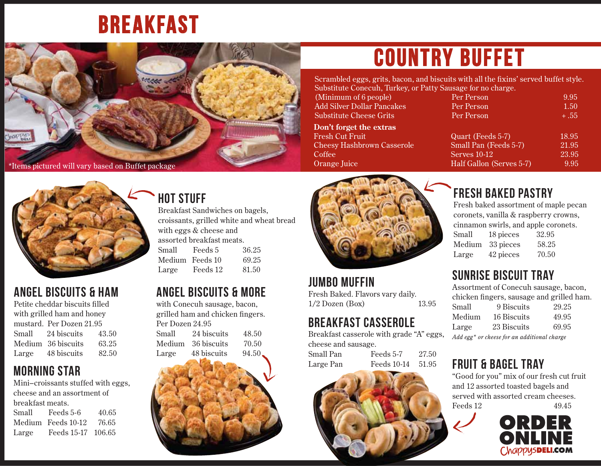## BREAKFAST



## COUNTRY BUFFET

Scrambled eggs, grits, bacon, and biscuits with all the fixins' served buffet style. Substitute Conecuh, Turkey, or Patty S

#### **Don't forget the extras**

| $\alpha$ outstitute Conecult, Turkey, or Fatty bausage for the Charge. |                          |        |
|------------------------------------------------------------------------|--------------------------|--------|
| (Minimum of 6 people)                                                  | Per Person               | 9.95   |
| <b>Add Silver Dollar Pancakes</b>                                      | Per Person               | 1.50   |
| <b>Substitute Cheese Grits</b>                                         | Per Person               | $+.55$ |
| Don't forget the extras                                                |                          |        |
| Fresh Cut Fruit                                                        | Quart (Feeds 5-7)        | 18.95  |
| <b>Cheesy Hashbrown Casserole</b>                                      | Small Pan (Feeds 5-7)    | 21.95  |
| Coffee                                                                 | Serves 10-12             | 23.95  |
| Orange Juice                                                           | Half Gallon (Serves 5-7) | 9.95   |
|                                                                        |                          |        |



#### ANGEL BISCUITS & HAM

Petite cheddar biscuits filled with grilled ham and honey mustard. Per Dozen 21.95 Small 24 biscuits 43.50 Medium 36 biscuits 63.25 Large 48 biscuits 82.50

#### MORNING STAR

Mini–croissants stuffed with eggs, cheese and an assortment of breakfast meats. Small Feeds 5-6 40.65 Medium Feeds 10-12 76.65 Large Feeds 15-17 106.65

#### HOT STUFF

Breakfast Sandwiches on bagels, croissants, grilled white and wheat bread with eggs & cheese and assorted breakfast meats. Small Feeds 5 36.25 Medium Feeds 10 69.25 Large Feeds 12 81.50

#### ANGEL BISCUITS & MORE

with Conecuh sausage, bacon, grilled ham and chicken fingers. Per Dozen 24.95 Small 24 biscuits 48.50 Medium 36 biscuits 70.50 Large 48 biscuits 94.50





JUMBO MUFFIN Fresh Baked. Flavors vary daily. 1/2 Dozen (Box) 13.95

#### BREAKFAST CASSEROLE

Breakfast casserole with grade "A" eggs, cheese and sausage.

Small Pan Feeds 5-7 27.50 Large Pan Feeds 10-14 51.95



#### FRESH BAKED PASTRY

Fresh baked assortment of maple pecan coronets, vanilla & raspberry crowns, cinnamon swirls, and apple coronets. Small 18 pieces 32.95 Medium 33 pieces 58.25 Large 42 pieces 70.50

#### SUNRISE BISCUIT TRAY

Assortment of Conecuh sausage, bacon, chicken fingers, sausage and grilled ham. Small 9 Biscuits 29.25 Medium 16 Biscuits 49.95 Large 23 Biscuits 69.95

*Add egg\* or cheese for an additional charge*

#### FRUIT & BAGEL TRAY

"Good for you" mix of our fresh cut fruit and 12 assorted toasted bagels and served with assorted cream cheeses. Feeds 12 49.45

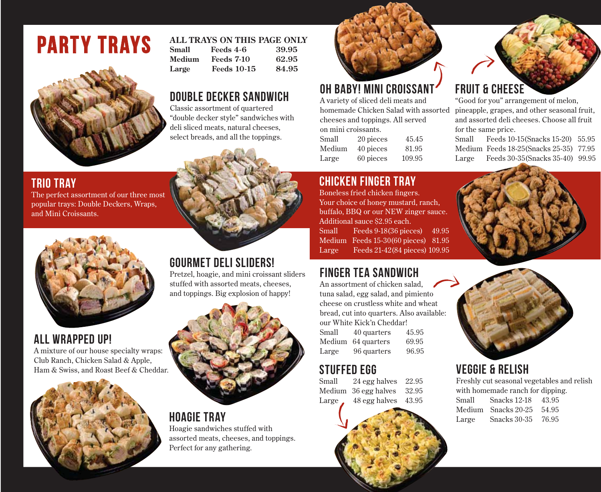## party trays



#### TRIO TRAY

The perfect assortment of our three most popular trays: Double Deckers, Wraps, and Mini Croissants.



#### ALL WRAPPED UP!

A mixture of our house specialty wraps: Club Ranch, Chicken Salad & Apple, Ham & Swiss, and Roast Beef & Cheddar.



#### **ALL TRAYS ON THIS PAGE ONLY**

| Small  | Feeds 4-6          | 39.95 |
|--------|--------------------|-------|
| Medium | <b>Feeds 7-10</b>  | 62.95 |
| Large  | <b>Feeds 10-15</b> | 84.95 |

#### DOUBLE DECKER SANDWICH

Classic assortment of quartered "double decker style" sandwiches with deli sliced meats, natural cheeses, select breads, and all the toppings.



#### GOURMET DELI SLIDERS!

Pretzel, hoagie, and mini croissant sliders stuffed with assorted meats, cheeses, and toppings. Big explosion of happy!



#### HOAGIE TRAY

Hoagie sandwiches stuffed with assorted meats, cheeses, and toppings. Perfect for any gathering.



#### OH BABY! MINI CROISSANT

A variety of sliced deli meats and homemade Chicken Salad with assorted cheeses and toppings. All served on mini croissants.

| Small  | 20 pieces | 45.45  |
|--------|-----------|--------|
| Medium | 40 pieces | 81.95  |
| Large  | 60 pieces | 109.95 |

#### CHICKEN FINGER TRAY

Boneless fried chicken fingers. Your choice of honey mustard, ranch, buffalo, BBQ or our NEW zinger sauce. Additional sauce \$2.95 each. Small Feeds 9-18(36 pieces) 49.95 Medium Feeds 15-30(60 pieces) 81.95 Large Feeds 21-42(84 pieces) 109.95

#### FINGER TEA SANDWICH

An assortment of chicken salad, tuna salad, egg salad, and pimiento cheese on crustless white and wheat bread, cut into quarters. Also available: our White Kick'n Cheddar! Small 40 quarters 45.95 Medium 64 quarters 69.95 Large 96 quarters 96.95

### **STUFFED EGG**<br>Small 24 egg 1

 $24$  egg halves  $22.95$ Medium 36 egg halves 32.95 Large  $48$  egg halves  $43.95$ 

#### FRUIT & CHEESE

"Good for you" arrangement of melon, pineapple, grapes, and other seasonal fruit, and assorted deli cheeses. Choose all fruit for the same price.

Small Feeds 10-15(Snacks 15-20) 55.95 Medium Feeds 18-25(Snacks 25-35) 77.95 Large Feeds 30-35(Snacks 35-40) 99.95





#### VEGGIE & RELISH

Freshly cut seasonal vegetables and relish with homemade ranch for dipping.

| Small | Snacks 12-18            | 43.95 |
|-------|-------------------------|-------|
|       | Medium – Snacks 20-25 - | 54.95 |
| Large | Snacks 30-35            | 76.95 |